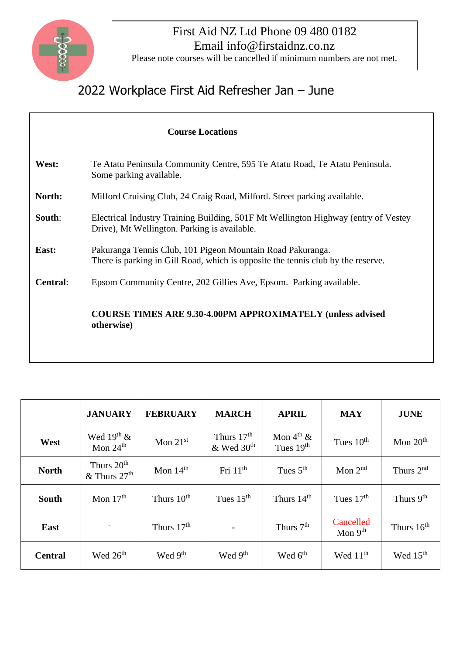

## First Aid NZ Ltd Phone 09 480 0182 Email info@firstaidnz.co.nz

Please note courses will be cancelled if minimum numbers are not met.

## 2022 Workplace First Aid Refresher Jan – June

|                 | <b>Course Locations</b>                                                                                                                        |  |  |  |  |  |  |  |
|-----------------|------------------------------------------------------------------------------------------------------------------------------------------------|--|--|--|--|--|--|--|
| West:           | Te Atatu Peninsula Community Centre, 595 Te Atatu Road, Te Atatu Peninsula.<br>Some parking available.                                         |  |  |  |  |  |  |  |
| North:          | Milford Cruising Club, 24 Craig Road, Milford. Street parking available.                                                                       |  |  |  |  |  |  |  |
| South:          | Electrical Industry Training Building, 501F Mt Wellington Highway (entry of Vestey<br>Drive), Mt Wellington. Parking is available.             |  |  |  |  |  |  |  |
| East:           | Pakuranga Tennis Club, 101 Pigeon Mountain Road Pakuranga.<br>There is parking in Gill Road, which is opposite the tennis club by the reserve. |  |  |  |  |  |  |  |
| <b>Central:</b> | Epsom Community Centre, 202 Gillies Ave, Epsom. Parking available.                                                                             |  |  |  |  |  |  |  |
|                 | <b>COURSE TIMES ARE 9.30-4.00PM APPROXIMATELY (unless advised)</b><br>otherwise)                                                               |  |  |  |  |  |  |  |

|                | <b>JANUARY</b>                                       | <b>FEBRUARY</b>        | <b>MARCH</b>                             | <b>APRIL</b>                         | <b>MAY</b>             | <b>JUNE</b>           |
|----------------|------------------------------------------------------|------------------------|------------------------------------------|--------------------------------------|------------------------|-----------------------|
| West           | Wed $19th$ &<br>Mon $24th$                           | Mon $21st$             | Thurs $17th$<br>$&$ Wed 30 <sup>th</sup> | Mon $4^{\text{th}}$ &<br>Tues $19th$ | Tues $10th$            | Mon $20th$            |
| <b>North</b>   | Thurs 20 <sup>th</sup><br>$&$ Thurs 27 <sup>th</sup> | Mon $14th$             | Fri $11th$                               | Tues $5th$                           | Mon $2nd$              | Thurs $2nd$           |
| <b>South</b>   | Mon $17th$                                           | Thurs 10 <sup>th</sup> | Tues $15th$                              | Thurs 14 <sup>th</sup>               | Tues $17th$            | Thurs 9 <sup>th</sup> |
| <b>East</b>    |                                                      | Thurs 17 <sup>th</sup> |                                          | Thurs 7 <sup>th</sup>                | Cancelled<br>Mon $9th$ | Thurs $16th$          |
| <b>Central</b> | Wed 26 <sup>th</sup>                                 | Wed 9 <sup>th</sup>    | Wed 9 <sup>th</sup>                      | Wed 6 <sup>th</sup>                  | Wed $11th$             | Wed 15 <sup>th</sup>  |